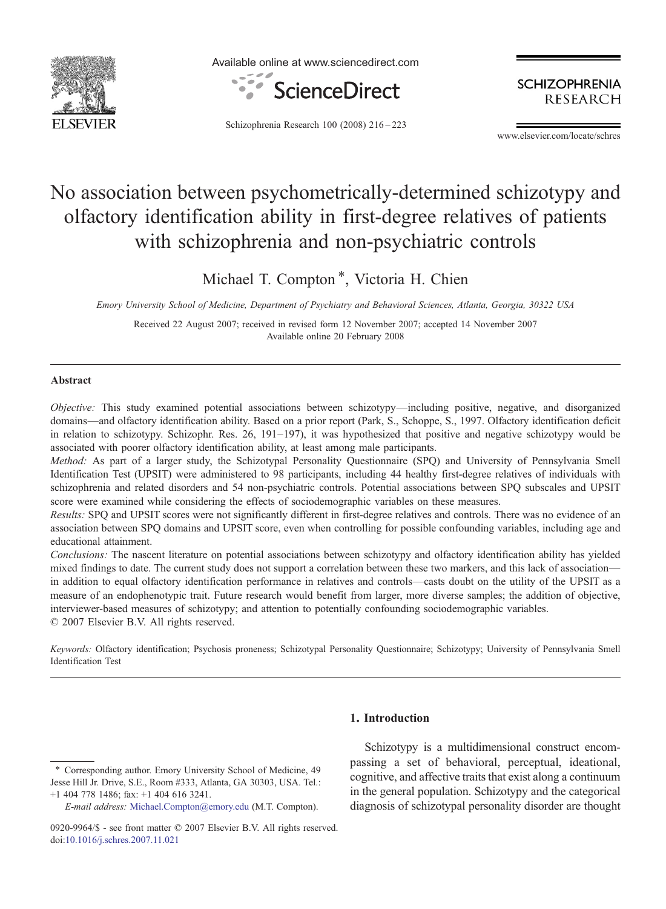

Available online at www.sciencedirect.com



**SCHIZOPHRENIA RESEARCH** 

Schizophrenia Research 100 (2008) 216–223

www.elsevier.com/locate/schres

# No association between psychometrically-determined schizotypy and olfactory identification ability in first-degree relatives of patients with schizophrenia and non-psychiatric controls

Michael T. Compton<sup>\*</sup>, Victoria H. Chien

Emory University School of Medicine, Department of Psychiatry and Behavioral Sciences, Atlanta, Georgia, 30322 USA

Received 22 August 2007; received in revised form 12 November 2007; accepted 14 November 2007 Available online 20 February 2008

## Abstract

Objective: This study examined potential associations between schizotypy—including positive, negative, and disorganized domains—and olfactory identification ability. Based on a prior report (Park, S., Schoppe, S., 1997. Olfactory identification deficit in relation to schizotypy. Schizophr. Res. 26, 191–197), it was hypothesized that positive and negative schizotypy would be associated with poorer olfactory identification ability, at least among male participants.

Method: As part of a larger study, the Schizotypal Personality Questionnaire (SPQ) and University of Pennsylvania Smell Identification Test (UPSIT) were administered to 98 participants, including 44 healthy first-degree relatives of individuals with schizophrenia and related disorders and 54 non-psychiatric controls. Potential associations between SPQ subscales and UPSIT score were examined while considering the effects of sociodemographic variables on these measures.

Results: SPQ and UPSIT scores were not significantly different in first-degree relatives and controls. There was no evidence of an association between SPQ domains and UPSIT score, even when controlling for possible confounding variables, including age and educational attainment.

Conclusions: The nascent literature on potential associations between schizotypy and olfactory identification ability has yielded mixed findings to date. The current study does not support a correlation between these two markers, and this lack of association in addition to equal olfactory identification performance in relatives and controls—casts doubt on the utility of the UPSIT as a measure of an endophenotypic trait. Future research would benefit from larger, more diverse samples; the addition of objective, interviewer-based measures of schizotypy; and attention to potentially confounding sociodemographic variables. © 2007 Elsevier B.V. All rights reserved.

Keywords: Olfactory identification; Psychosis proneness; Schizotypal Personality Questionnaire; Schizotypy; University of Pennsylvania Smell Identification Test

E-mail address: [Michael.Compton@emory.edu](mailto:Michael.Compton@emory.edu) (M.T. Compton).

# 1. Introduction

Schizotypy is a multidimensional construct encompassing a set of behavioral, perceptual, ideational, cognitive, and affective traits that exist along a continuum in the general population. Schizotypy and the categorical diagnosis of schizotypal personality disorder are thought

<sup>⁎</sup> Corresponding author. Emory University School of Medicine, 49 Jesse Hill Jr. Drive, S.E., Room #333, Atlanta, GA 30303, USA. Tel.: +1 404 778 1486; fax: +1 404 616 3241.

<sup>0920-9964/\$ -</sup> see front matter © 2007 Elsevier B.V. All rights reserved. doi[:10.1016/j.schres.2007.11.021](http://dx.doi.org/10.1016/j.schres.2007.11.021)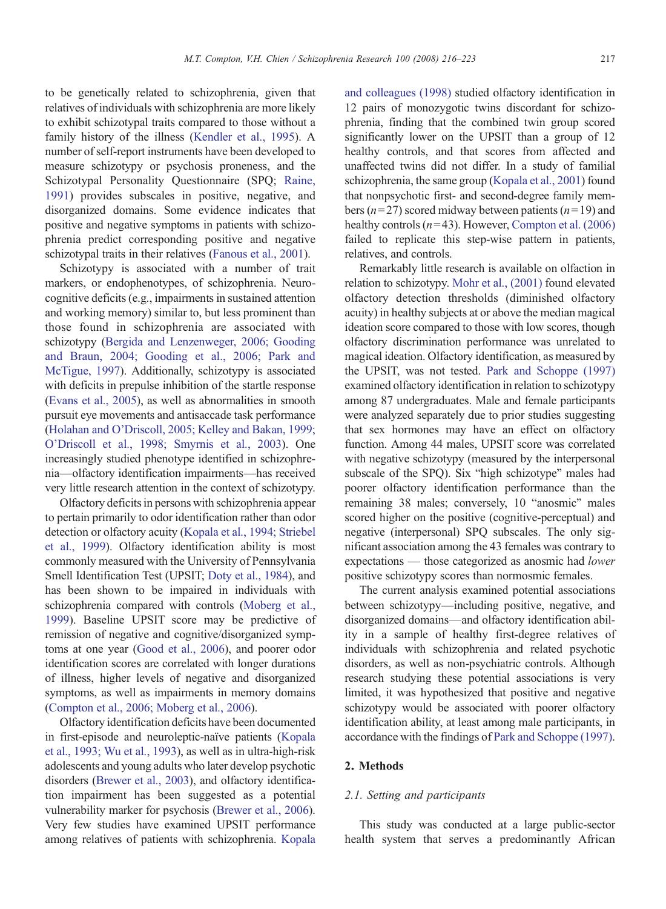to be genetically related to schizophrenia, given that relatives of individuals with schizophrenia are more likely to exhibit schizotypal traits compared to those without a family history of the illness [\(Kendler et al., 1995\)](#page-6-0). A number of self-report instruments have been developed to measure schizotypy or psychosis proneness, and the Schizotypal Personality Questionnaire (SPQ; [Raine,](#page-7-0) [1991\)](#page-7-0) provides subscales in positive, negative, and disorganized domains. Some evidence indicates that positive and negative symptoms in patients with schizophrenia predict corresponding positive and negative schizotypal traits in their relatives [\(Fanous et al., 2001](#page-6-0)).

Schizotypy is associated with a number of trait markers, or endophenotypes, of schizophrenia. Neurocognitive deficits (e.g., impairments in sustained attention and working memory) similar to, but less prominent than those found in schizophrenia are associated with schizotypy [\(Bergida and Lenzenweger, 2006; Gooding](#page-6-0) [and Braun, 2004; Gooding et al., 2006; Park and](#page-6-0) [McTigue, 1997](#page-6-0)). Additionally, schizotypy is associated with deficits in prepulse inhibition of the startle response [\(Evans et al., 2005\)](#page-6-0), as well as abnormalities in smooth pursuit eye movements and antisaccade task performance (Holahan and O'[Driscoll, 2005; Kelley and Bakan, 1999;](#page-6-0) O'[Driscoll et al., 1998; Smyrnis et al., 2003](#page-6-0)). One increasingly studied phenotype identified in schizophrenia—olfactory identification impairments—has received very little research attention in the context of schizotypy.

Olfactory deficits in persons with schizophrenia appear to pertain primarily to odor identification rather than odor detection or olfactory acuity [\(Kopala et al., 1994; Striebel](#page-6-0) [et al., 1999](#page-6-0)). Olfactory identification ability is most commonly measured with the University of Pennsylvania Smell Identification Test (UPSIT; [Doty et al., 1984\)](#page-6-0), and has been shown to be impaired in individuals with schizophrenia compared with controls [\(Moberg et al.,](#page-7-0) [1999\)](#page-7-0). Baseline UPSIT score may be predictive of remission of negative and cognitive/disorganized symptoms at one year [\(Good et al., 2006\)](#page-6-0), and poorer odor identification scores are correlated with longer durations of illness, higher levels of negative and disorganized symptoms, as well as impairments in memory domains [\(Compton et al., 2006; Moberg et al., 2006](#page-6-0)).

Olfactory identification deficits have been documented in first-episode and neuroleptic-naïve patients ([Kopala](#page-6-0) [et al., 1993; Wu et al., 1993](#page-6-0)), as well as in ultra-high-risk adolescents and young adults who later develop psychotic disorders ([Brewer et al., 2003\)](#page-6-0), and olfactory identification impairment has been suggested as a potential vulnerability marker for psychosis [\(Brewer et al., 2006](#page-6-0)). Very few studies have examined UPSIT performance among relatives of patients with schizophrenia. [Kopala](#page-6-0)

[and colleagues \(1998\)](#page-6-0) studied olfactory identification in 12 pairs of monozygotic twins discordant for schizophrenia, finding that the combined twin group scored significantly lower on the UPSIT than a group of 12 healthy controls, and that scores from affected and unaffected twins did not differ. In a study of familial schizophrenia, the same group [\(Kopala et al., 2001](#page-6-0)) found that nonpsychotic first- and second-degree family members ( $n=27$ ) scored midway between patients ( $n=19$ ) and healthy controls  $(n=43)$ . However, [Compton et al. \(2006\)](#page-6-0) failed to replicate this step-wise pattern in patients, relatives, and controls.

Remarkably little research is available on olfaction in relation to schizotypy. [Mohr et al., \(2001\)](#page-7-0) found elevated olfactory detection thresholds (diminished olfactory acuity) in healthy subjects at or above the median magical ideation score compared to those with low scores, though olfactory discrimination performance was unrelated to magical ideation. Olfactory identification, as measured by the UPSIT, was not tested. [Park and Schoppe \(1997\)](#page-7-0) examined olfactory identification in relation to schizotypy among 87 undergraduates. Male and female participants were analyzed separately due to prior studies suggesting that sex hormones may have an effect on olfactory function. Among 44 males, UPSIT score was correlated with negative schizotypy (measured by the interpersonal subscale of the SPQ). Six "high schizotype" males had poorer olfactory identification performance than the remaining 38 males; conversely, 10 "anosmic" males scored higher on the positive (cognitive-perceptual) and negative (interpersonal) SPQ subscales. The only significant association among the 43 females was contrary to expectations — those categorized as anosmic had lower positive schizotypy scores than normosmic females.

The current analysis examined potential associations between schizotypy—including positive, negative, and disorganized domains—and olfactory identification ability in a sample of healthy first-degree relatives of individuals with schizophrenia and related psychotic disorders, as well as non-psychiatric controls. Although research studying these potential associations is very limited, it was hypothesized that positive and negative schizotypy would be associated with poorer olfactory identification ability, at least among male participants, in accordance with the findings of [Park and Schoppe \(1997\).](#page-7-0)

# 2. Methods

### 2.1. Setting and participants

This study was conducted at a large public-sector health system that serves a predominantly African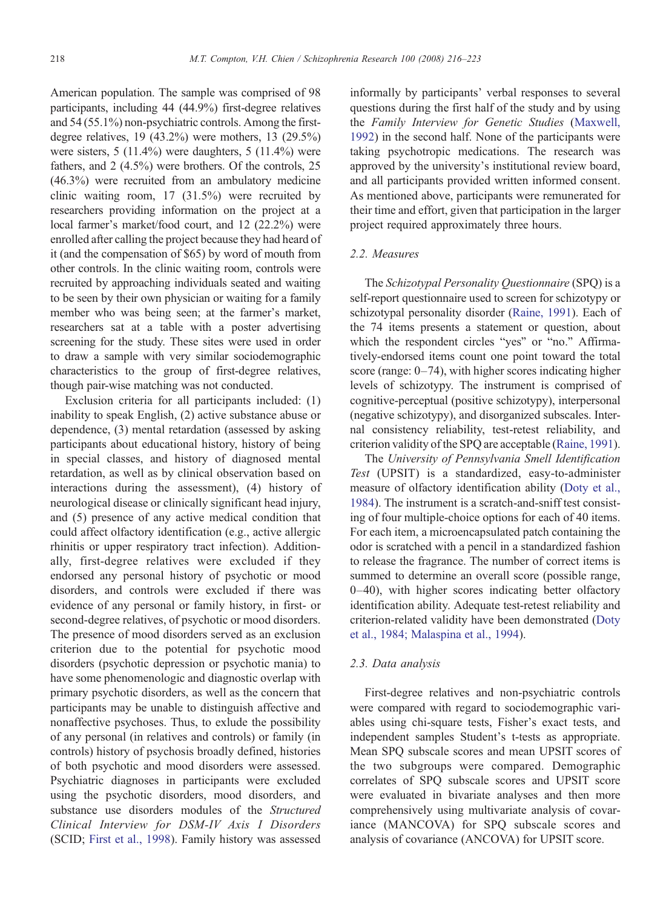American population. The sample was comprised of 98 participants, including 44 (44.9%) first-degree relatives and 54 (55.1%) non-psychiatric controls. Among the firstdegree relatives, 19 (43.2%) were mothers, 13 (29.5%) were sisters,  $5(11.4\%)$  were daughters,  $5(11.4\%)$  were fathers, and 2 (4.5%) were brothers. Of the controls, 25 (46.3%) were recruited from an ambulatory medicine clinic waiting room, 17 (31.5%) were recruited by researchers providing information on the project at a local farmer's market/food court, and 12 (22.2%) were enrolled after calling the project because they had heard of it (and the compensation of \$65) by word of mouth from other controls. In the clinic waiting room, controls were recruited by approaching individuals seated and waiting to be seen by their own physician or waiting for a family member who was being seen; at the farmer's market, researchers sat at a table with a poster advertising screening for the study. These sites were used in order to draw a sample with very similar sociodemographic characteristics to the group of first-degree relatives, though pair-wise matching was not conducted.

Exclusion criteria for all participants included: (1) inability to speak English, (2) active substance abuse or dependence, (3) mental retardation (assessed by asking participants about educational history, history of being in special classes, and history of diagnosed mental retardation, as well as by clinical observation based on interactions during the assessment), (4) history of neurological disease or clinically significant head injury, and (5) presence of any active medical condition that could affect olfactory identification (e.g., active allergic rhinitis or upper respiratory tract infection). Additionally, first-degree relatives were excluded if they endorsed any personal history of psychotic or mood disorders, and controls were excluded if there was evidence of any personal or family history, in first- or second-degree relatives, of psychotic or mood disorders. The presence of mood disorders served as an exclusion criterion due to the potential for psychotic mood disorders (psychotic depression or psychotic mania) to have some phenomenologic and diagnostic overlap with primary psychotic disorders, as well as the concern that participants may be unable to distinguish affective and nonaffective psychoses. Thus, to exlude the possibility of any personal (in relatives and controls) or family (in controls) history of psychosis broadly defined, histories of both psychotic and mood disorders were assessed. Psychiatric diagnoses in participants were excluded using the psychotic disorders, mood disorders, and substance use disorders modules of the Structured Clinical Interview for DSM-IV Axis I Disorders (SCID; [First et al., 1998\)](#page-6-0). Family history was assessed

informally by participants' verbal responses to several questions during the first half of the study and by using the Family Interview for Genetic Studies ([Maxwell,](#page-7-0) [1992](#page-7-0)) in the second half. None of the participants were taking psychotropic medications. The research was approved by the university's institutional review board, and all participants provided written informed consent. As mentioned above, participants were remunerated for their time and effort, given that participation in the larger project required approximately three hours.

# 2.2. Measures

The Schizotypal Personality Questionnaire (SPQ) is a self-report questionnaire used to screen for schizotypy or schizotypal personality disorder [\(Raine, 1991](#page-7-0)). Each of the 74 items presents a statement or question, about which the respondent circles "yes" or "no." Affirmatively-endorsed items count one point toward the total score (range: 0–74), with higher scores indicating higher levels of schizotypy. The instrument is comprised of cognitive-perceptual (positive schizotypy), interpersonal (negative schizotypy), and disorganized subscales. Internal consistency reliability, test-retest reliability, and criterion validity of the SPQ are acceptable ([Raine, 1991\)](#page-7-0).

The University of Pennsylvania Smell Identification Test (UPSIT) is a standardized, easy-to-administer measure of olfactory identification ability [\(Doty et al.,](#page-6-0) [1984](#page-6-0)). The instrument is a scratch-and-sniff test consisting of four multiple-choice options for each of 40 items. For each item, a microencapsulated patch containing the odor is scratched with a pencil in a standardized fashion to release the fragrance. The number of correct items is summed to determine an overall score (possible range, 0–40), with higher scores indicating better olfactory identification ability. Adequate test-retest reliability and criterion-related validity have been demonstrated ([Doty](#page-6-0) [et al., 1984; Malaspina et al., 1994](#page-6-0)).

# 2.3. Data analysis

First-degree relatives and non-psychiatric controls were compared with regard to sociodemographic variables using chi-square tests, Fisher's exact tests, and independent samples Student's t-tests as appropriate. Mean SPQ subscale scores and mean UPSIT scores of the two subgroups were compared. Demographic correlates of SPQ subscale scores and UPSIT score were evaluated in bivariate analyses and then more comprehensively using multivariate analysis of covariance (MANCOVA) for SPQ subscale scores and analysis of covariance (ANCOVA) for UPSIT score.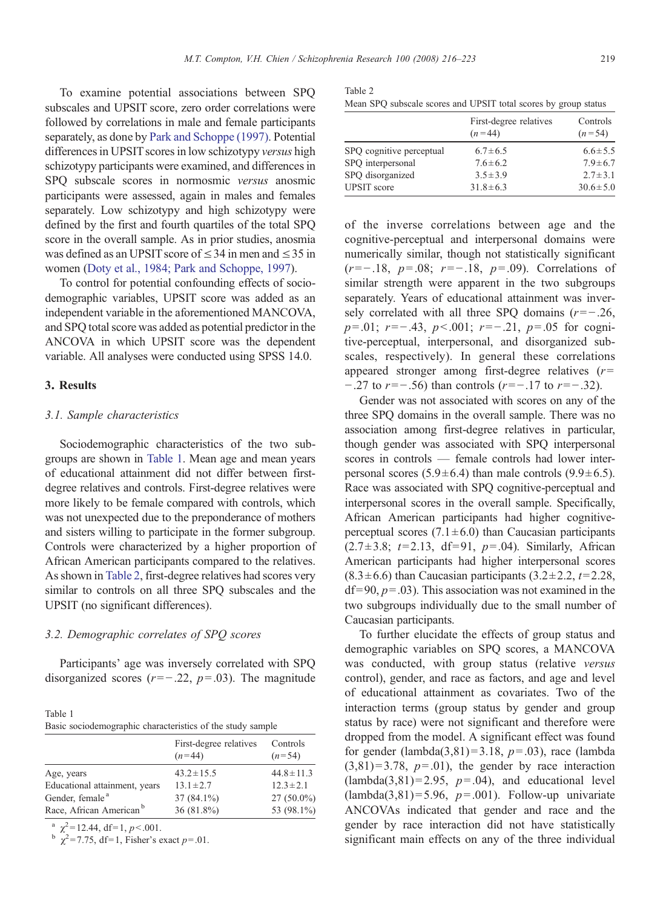To examine potential associations between SPQ subscales and UPSIT score, zero order correlations were followed by correlations in male and female participants separately, as done by [Park and Schoppe \(1997\)](#page-7-0). Potential differences in UPSIT scores in low schizotypy versus high schizotypy participants were examined, and differences in SPQ subscale scores in normosmic versus anosmic participants were assessed, again in males and females separately. Low schizotypy and high schizotypy were defined by the first and fourth quartiles of the total SPQ score in the overall sample. As in prior studies, anosmia was defined as an UPSIT score of  $\leq$  34 in men and  $\leq$  35 in women [\(Doty et al., 1984; Park and Schoppe, 1997\)](#page-6-0).

To control for potential confounding effects of sociodemographic variables, UPSIT score was added as an independent variable in the aforementioned MANCOVA, and SPQ total score was added as potential predictor in the ANCOVA in which UPSIT score was the dependent variable. All analyses were conducted using SPSS 14.0.

## 3. Results

## 3.1. Sample characteristics

Sociodemographic characteristics of the two subgroups are shown in Table 1. Mean age and mean years of educational attainment did not differ between firstdegree relatives and controls. First-degree relatives were more likely to be female compared with controls, which was not unexpected due to the preponderance of mothers and sisters willing to participate in the former subgroup. Controls were characterized by a higher proportion of African American participants compared to the relatives. As shown in Table 2, first-degree relatives had scores very similar to controls on all three SPQ subscales and the UPSIT (no significant differences).

#### 3.2. Demographic correlates of SPQ scores

Participants' age was inversely correlated with SPQ disorganized scores ( $r=-.22$ ,  $p=.03$ ). The magnitude

| Table 1 |                                                            |
|---------|------------------------------------------------------------|
|         | Basic sociodemographic characteristics of the study sample |

|                                     | First-degree relatives<br>$(n=44)$ | Controls<br>$(n=54)$ |
|-------------------------------------|------------------------------------|----------------------|
| Age, years                          | $43.2 \pm 15.5$                    | $44.8 \pm 11.3$      |
| Educational attainment, years       | $13.1 \pm 2.7$                     | $12.3 \pm 2.1$       |
| Gender, female <sup>a</sup>         | $37(84.1\%)$                       | $27(50.0\%)$         |
| Race, African American <sup>b</sup> | $36(81.8\%)$                       | 53 (98.1%)           |

 $\chi^2$  = 12.44, df = 1, p < 001.

<sup>b</sup> 
$$
\chi^2
$$
 = 7.75, df=1, Fisher's exact *p*=.01.

Table 2

| Mean SPQ subscale scores and UPSIT total scores by group status |  |  |  |  |  |  |
|-----------------------------------------------------------------|--|--|--|--|--|--|
|-----------------------------------------------------------------|--|--|--|--|--|--|

|                          | First-degree relatives<br>$(n=44)$ | Controls<br>$(n=54)$ |
|--------------------------|------------------------------------|----------------------|
| SPQ cognitive perceptual | $6.7 \pm 6.5$                      | $6.6 \pm 5.5$        |
| SPO interpersonal        | $7.6 \pm 6.2$                      | $7.9 \pm 6.7$        |
| SPO disorganized         | $3.5 \pm 3.9$                      | $2.7 \pm 3.1$        |
| <b>UPSIT</b> score       | $31.8 \pm 6.3$                     | $30.6 \pm 5.0$       |

of the inverse correlations between age and the cognitive-perceptual and interpersonal domains were numerically similar, though not statistically significant  $(r=-.18, p=.08; r=-.18, p=.09)$ . Correlations of similar strength were apparent in the two subgroups separately. Years of educational attainment was inversely correlated with all three SPQ domains  $(r=-.26,$  $p=0.01$ ;  $r=-.43$ ,  $p<.001$ ;  $r=-.21$ ,  $p=.05$  for cognitive-perceptual, interpersonal, and disorganized subscales, respectively). In general these correlations appeared stronger among first-degree relatives  $(r=$  $-0.27$  to  $r=-0.56$ ) than controls  $(r=-0.17$  to  $r=-0.32$ .

Gender was not associated with scores on any of the three SPQ domains in the overall sample. There was no association among first-degree relatives in particular, though gender was associated with SPQ interpersonal scores in controls — female controls had lower interpersonal scores  $(5.9 \pm 6.4)$  than male controls  $(9.9 \pm 6.5)$ . Race was associated with SPQ cognitive-perceptual and interpersonal scores in the overall sample. Specifically, African American participants had higher cognitiveperceptual scores  $(7.1 \pm 6.0)$  than Caucasian participants  $(2.7 \pm 3.8; t = 2.13, df = 91, p = .04)$ . Similarly, African American participants had higher interpersonal scores  $(8.3 \pm 6.6)$  than Caucasian participants  $(3.2 \pm 2.2, t=2.28,$  $df= 90, p=.03$ ). This association was not examined in the two subgroups individually due to the small number of Caucasian participants.

To further elucidate the effects of group status and demographic variables on SPQ scores, a MANCOVA was conducted, with group status (relative versus control), gender, and race as factors, and age and level of educational attainment as covariates. Two of the interaction terms (group status by gender and group status by race) were not significant and therefore were dropped from the model. A significant effect was found for gender (lambda(3,81)=3.18,  $p=.03$ ), race (lambda  $(3,81)=3.78$ ,  $p=.01$ ), the gender by race interaction  $(lambda(3,81)=2.95, p=.04)$ , and educational level  $(lambda(3,81)=5.96, p=.001)$ . Follow-up univariate ANCOVAs indicated that gender and race and the gender by race interaction did not have statistically significant main effects on any of the three individual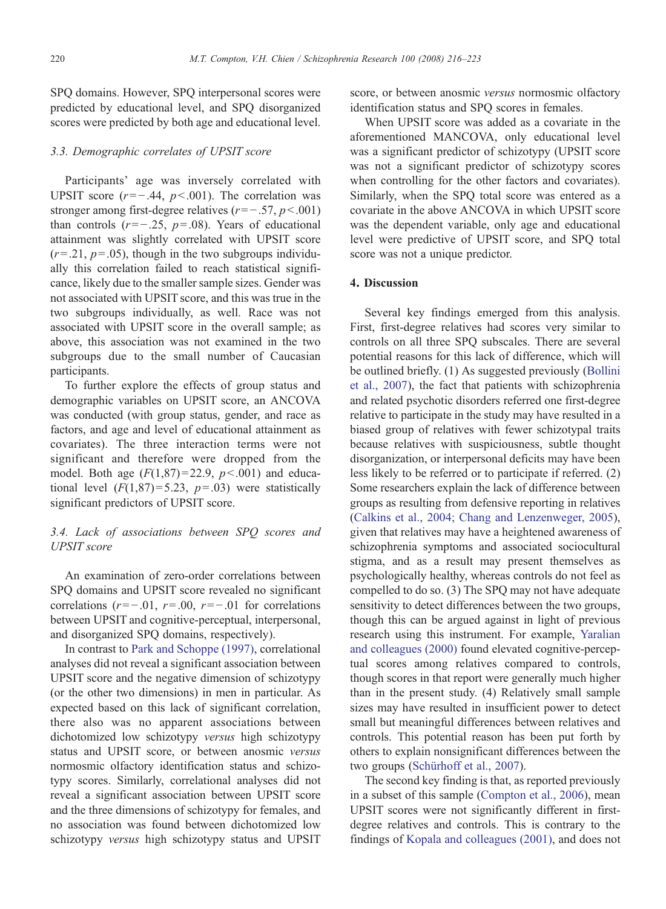SPQ domains. However, SPQ interpersonal scores were predicted by educational level, and SPQ disorganized scores were predicted by both age and educational level.

# 3.3. Demographic correlates of UPSIT score

Participants' age was inversely correlated with UPSIT score ( $r=-.44$ ,  $p<.001$ ). The correlation was stronger among first-degree relatives ( $r=-.57, p<.001$ ) than controls  $(r=-.25, p=.08)$ . Years of educational attainment was slightly correlated with UPSIT score  $(r=.21, p=.05)$ , though in the two subgroups individually this correlation failed to reach statistical significance, likely due to the smaller sample sizes. Gender was not associated with UPSIT score, and this was true in the two subgroups individually, as well. Race was not associated with UPSIT score in the overall sample; as above, this association was not examined in the two subgroups due to the small number of Caucasian participants.

To further explore the effects of group status and demographic variables on UPSIT score, an ANCOVA was conducted (with group status, gender, and race as factors, and age and level of educational attainment as covariates). The three interaction terms were not significant and therefore were dropped from the model. Both age  $(F(1,87)=22.9, p<.001)$  and educational level  $(F(1,87) = 5.23, p = .03)$  were statistically significant predictors of UPSIT score.

# 3.4. Lack of associations between SPQ scores and UPSIT score

An examination of zero-order correlations between SPQ domains and UPSIT score revealed no significant correlations ( $r=-.01$ ,  $r=.00$ ,  $r=-.01$  for correlations between UPSIT and cognitive-perceptual, interpersonal, and disorganized SPQ domains, respectively).

In contrast to [Park and Schoppe \(1997\),](#page-7-0) correlational analyses did not reveal a significant association between UPSIT score and the negative dimension of schizotypy (or the other two dimensions) in men in particular. As expected based on this lack of significant correlation, there also was no apparent associations between dichotomized low schizotypy versus high schizotypy status and UPSIT score, or between anosmic versus normosmic olfactory identification status and schizotypy scores. Similarly, correlational analyses did not reveal a significant association between UPSIT score and the three dimensions of schizotypy for females, and no association was found between dichotomized low schizotypy versus high schizotypy status and UPSIT

score, or between anosmic versus normosmic olfactory identification status and SPQ scores in females.

When UPSIT score was added as a covariate in the aforementioned MANCOVA, only educational level was a significant predictor of schizotypy (UPSIT score was not a significant predictor of schizotypy scores when controlling for the other factors and covariates). Similarly, when the SPQ total score was entered as a covariate in the above ANCOVA in which UPSIT score was the dependent variable, only age and educational level were predictive of UPSIT score, and SPQ total score was not a unique predictor.

# 4. Discussion

Several key findings emerged from this analysis. First, first-degree relatives had scores very similar to controls on all three SPQ subscales. There are several potential reasons for this lack of difference, which will be outlined briefly. (1) As suggested previously ([Bollini](#page-6-0) [et al., 2007](#page-6-0)), the fact that patients with schizophrenia and related psychotic disorders referred one first-degree relative to participate in the study may have resulted in a biased group of relatives with fewer schizotypal traits because relatives with suspiciousness, subtle thought disorganization, or interpersonal deficits may have been less likely to be referred or to participate if referred. (2) Some researchers explain the lack of difference between groups as resulting from defensive reporting in relatives [\(Calkins et al., 2004; Chang and Lenzenweger, 2005\)](#page-6-0), given that relatives may have a heightened awareness of schizophrenia symptoms and associated sociocultural stigma, and as a result may present themselves as psychologically healthy, whereas controls do not feel as compelled to do so. (3) The SPQ may not have adequate sensitivity to detect differences between the two groups, though this can be argued against in light of previous research using this instrument. For example, [Yaralian](#page-7-0) [and colleagues \(2000\)](#page-7-0) found elevated cognitive-perceptual scores among relatives compared to controls, though scores in that report were generally much higher than in the present study. (4) Relatively small sample sizes may have resulted in insufficient power to detect small but meaningful differences between relatives and controls. This potential reason has been put forth by others to explain nonsignificant differences between the two groups [\(Schürhoff et al., 2007\)](#page-7-0).

The second key finding is that, as reported previously in a subset of this sample [\(Compton et al., 2006\)](#page-6-0), mean UPSIT scores were not significantly different in firstdegree relatives and controls. This is contrary to the findings of [Kopala and colleagues \(2001\),](#page-6-0) and does not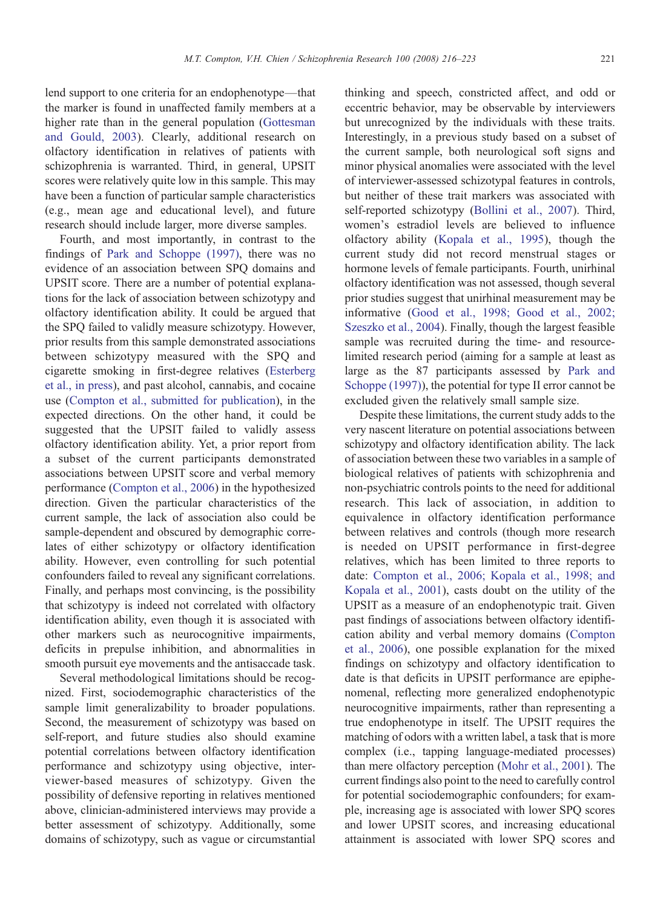lend support to one criteria for an endophenotype—that the marker is found in unaffected family members at a higher rate than in the general population [\(Gottesman](#page-6-0) [and Gould, 2003](#page-6-0)). Clearly, additional research on olfactory identification in relatives of patients with schizophrenia is warranted. Third, in general, UPSIT scores were relatively quite low in this sample. This may have been a function of particular sample characteristics (e.g., mean age and educational level), and future research should include larger, more diverse samples.

Fourth, and most importantly, in contrast to the findings of [Park and Schoppe \(1997\),](#page-7-0) there was no evidence of an association between SPQ domains and UPSIT score. There are a number of potential explanations for the lack of association between schizotypy and olfactory identification ability. It could be argued that the SPQ failed to validly measure schizotypy. However, prior results from this sample demonstrated associations between schizotypy measured with the SPQ and cigarette smoking in first-degree relatives [\(Esterberg](#page-6-0) [et al., in press](#page-6-0)), and past alcohol, cannabis, and cocaine use ([Compton et al., submitted for publication\)](#page-6-0), in the expected directions. On the other hand, it could be suggested that the UPSIT failed to validly assess olfactory identification ability. Yet, a prior report from a subset of the current participants demonstrated associations between UPSIT score and verbal memory performance [\(Compton et al., 2006\)](#page-6-0) in the hypothesized direction. Given the particular characteristics of the current sample, the lack of association also could be sample-dependent and obscured by demographic correlates of either schizotypy or olfactory identification ability. However, even controlling for such potential confounders failed to reveal any significant correlations. Finally, and perhaps most convincing, is the possibility that schizotypy is indeed not correlated with olfactory identification ability, even though it is associated with other markers such as neurocognitive impairments, deficits in prepulse inhibition, and abnormalities in smooth pursuit eye movements and the antisaccade task.

Several methodological limitations should be recognized. First, sociodemographic characteristics of the sample limit generalizability to broader populations. Second, the measurement of schizotypy was based on self-report, and future studies also should examine potential correlations between olfactory identification performance and schizotypy using objective, interviewer-based measures of schizotypy. Given the possibility of defensive reporting in relatives mentioned above, clinician-administered interviews may provide a better assessment of schizotypy. Additionally, some domains of schizotypy, such as vague or circumstantial

thinking and speech, constricted affect, and odd or eccentric behavior, may be observable by interviewers but unrecognized by the individuals with these traits. Interestingly, in a previous study based on a subset of the current sample, both neurological soft signs and minor physical anomalies were associated with the level of interviewer-assessed schizotypal features in controls, but neither of these trait markers was associated with self-reported schizotypy ([Bollini et al., 2007](#page-6-0)). Third, women's estradiol levels are believed to influence olfactory ability [\(Kopala et al., 1995](#page-6-0)), though the current study did not record menstrual stages or hormone levels of female participants. Fourth, unirhinal olfactory identification was not assessed, though several prior studies suggest that unirhinal measurement may be informative ([Good et al., 1998; Good et al., 2002;](#page-6-0) [Szeszko et al., 2004](#page-6-0)). Finally, though the largest feasible sample was recruited during the time- and resourcelimited research period (aiming for a sample at least as large as the 87 participants assessed by [Park and](#page-7-0) [Schoppe \(1997\)\)](#page-7-0), the potential for type II error cannot be excluded given the relatively small sample size.

Despite these limitations, the current study adds to the very nascent literature on potential associations between schizotypy and olfactory identification ability. The lack of association between these two variables in a sample of biological relatives of patients with schizophrenia and non-psychiatric controls points to the need for additional research. This lack of association, in addition to equivalence in olfactory identification performance between relatives and controls (though more research is needed on UPSIT performance in first-degree relatives, which has been limited to three reports to date: [Compton et al., 2006; Kopala et al., 1998; and](#page-6-0) [Kopala et al., 2001\)](#page-6-0), casts doubt on the utility of the UPSIT as a measure of an endophenotypic trait. Given past findings of associations between olfactory identification ability and verbal memory domains [\(Compton](#page-6-0) [et al., 2006\)](#page-6-0), one possible explanation for the mixed findings on schizotypy and olfactory identification to date is that deficits in UPSIT performance are epiphenomenal, reflecting more generalized endophenotypic neurocognitive impairments, rather than representing a true endophenotype in itself. The UPSIT requires the matching of odors with a written label, a task that is more complex (i.e., tapping language-mediated processes) than mere olfactory perception ([Mohr et al., 2001](#page-7-0)). The current findings also point to the need to carefully control for potential sociodemographic confounders; for example, increasing age is associated with lower SPQ scores and lower UPSIT scores, and increasing educational attainment is associated with lower SPQ scores and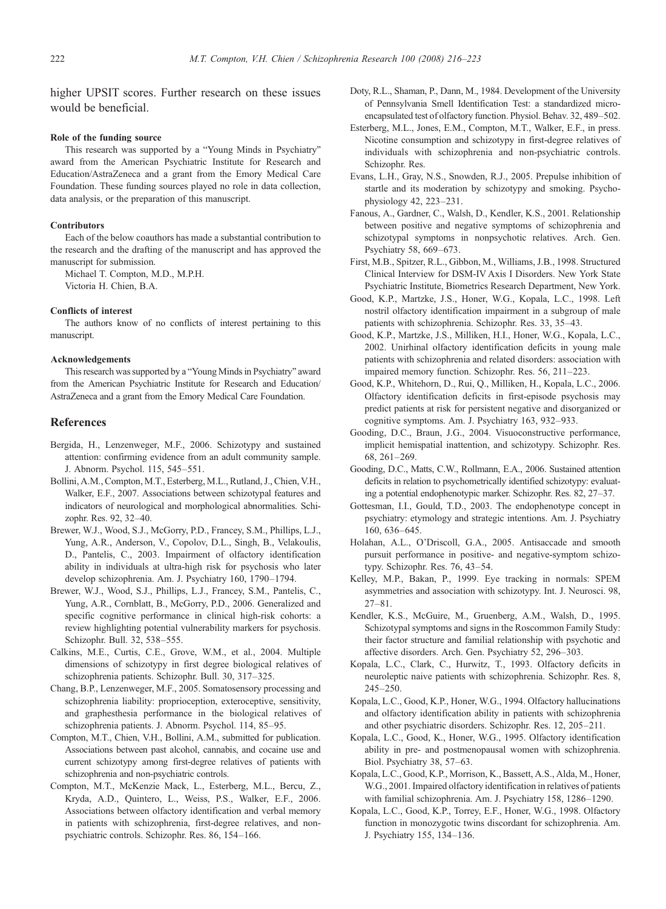<span id="page-6-0"></span>higher UPSIT scores. Further research on these issues would be beneficial.

#### Role of the funding source

This research was supported by a "Young Minds in Psychiatry" award from the American Psychiatric Institute for Research and Education/AstraZeneca and a grant from the Emory Medical Care Foundation. These funding sources played no role in data collection, data analysis, or the preparation of this manuscript.

#### **Contributors**

Each of the below coauthors has made a substantial contribution to the research and the drafting of the manuscript and has approved the manuscript for submission.

Michael T. Compton, M.D., M.P.H. Victoria H. Chien, B.A.

#### Conflicts of interest

The authors know of no conflicts of interest pertaining to this manuscript.

#### Acknowledgements

This research was supported by a "Young Minds in Psychiatry" award from the American Psychiatric Institute for Research and Education/ AstraZeneca and a grant from the Emory Medical Care Foundation.

# References

- Bergida, H., Lenzenweger, M.F., 2006. Schizotypy and sustained attention: confirming evidence from an adult community sample. J. Abnorm. Psychol. 115, 545–551.
- Bollini, A.M., Compton, M.T., Esterberg, M.L., Rutland, J., Chien, V.H., Walker, E.F., 2007. Associations between schizotypal features and indicators of neurological and morphological abnormalities. Schizophr. Res. 92, 32–40.
- Brewer, W.J., Wood, S.J., McGorry, P.D., Francey, S.M., Phillips, L.J., Yung, A.R., Anderson, V., Copolov, D.L., Singh, B., Velakoulis, D., Pantelis, C., 2003. Impairment of olfactory identification ability in individuals at ultra-high risk for psychosis who later develop schizophrenia. Am. J. Psychiatry 160, 1790–1794.
- Brewer, W.J., Wood, S.J., Phillips, L.J., Francey, S.M., Pantelis, C., Yung, A.R., Cornblatt, B., McGorry, P.D., 2006. Generalized and specific cognitive performance in clinical high-risk cohorts: a review highlighting potential vulnerability markers for psychosis. Schizophr. Bull. 32, 538–555.
- Calkins, M.E., Curtis, C.E., Grove, W.M., et al., 2004. Multiple dimensions of schizotypy in first degree biological relatives of schizophrenia patients. Schizophr. Bull. 30, 317–325.
- Chang, B.P., Lenzenweger, M.F., 2005. Somatosensory processing and schizophrenia liability: proprioception, exteroceptive, sensitivity, and graphesthesia performance in the biological relatives of schizophrenia patients. J. Abnorm. Psychol. 114, 85–95.
- Compton, M.T., Chien, V.H., Bollini, A.M., submitted for publication. Associations between past alcohol, cannabis, and cocaine use and current schizotypy among first-degree relatives of patients with schizophrenia and non-psychiatric controls.
- Compton, M.T., McKenzie Mack, L., Esterberg, M.L., Bercu, Z., Kryda, A.D., Quintero, L., Weiss, P.S., Walker, E.F., 2006. Associations between olfactory identification and verbal memory in patients with schizophrenia, first-degree relatives, and nonpsychiatric controls. Schizophr. Res. 86, 154–166.
- Doty, R.L., Shaman, P., Dann, M., 1984. Development of the University of Pennsylvania Smell Identification Test: a standardized microencapsulated test of olfactory function. Physiol. Behav. 32, 489–502.
- Esterberg, M.L., Jones, E.M., Compton, M.T., Walker, E.F., in press. Nicotine consumption and schizotypy in first-degree relatives of individuals with schizophrenia and non-psychiatric controls. Schizophr. Res.
- Evans, L.H., Gray, N.S., Snowden, R.J., 2005. Prepulse inhibition of startle and its moderation by schizotypy and smoking. Psychophysiology 42, 223–231.
- Fanous, A., Gardner, C., Walsh, D., Kendler, K.S., 2001. Relationship between positive and negative symptoms of schizophrenia and schizotypal symptoms in nonpsychotic relatives. Arch. Gen. Psychiatry 58, 669–673.
- First, M.B., Spitzer, R.L., Gibbon, M., Williams, J.B., 1998. Structured Clinical Interview for DSM-IV Axis I Disorders. New York State Psychiatric Institute, Biometrics Research Department, New York.
- Good, K.P., Martzke, J.S., Honer, W.G., Kopala, L.C., 1998. Left nostril olfactory identification impairment in a subgroup of male patients with schizophrenia. Schizophr. Res. 33, 35–43.
- Good, K.P., Martzke, J.S., Milliken, H.I., Honer, W.G., Kopala, L.C., 2002. Unirhinal olfactory identification deficits in young male patients with schizophrenia and related disorders: association with impaired memory function. Schizophr. Res. 56, 211–223.
- Good, K.P., Whitehorn, D., Rui, Q., Milliken, H., Kopala, L.C., 2006. Olfactory identification deficits in first-episode psychosis may predict patients at risk for persistent negative and disorganized or cognitive symptoms. Am. J. Psychiatry 163, 932–933.
- Gooding, D.C., Braun, J.G., 2004. Visuoconstructive performance, implicit hemispatial inattention, and schizotypy. Schizophr. Res. 68, 261–269.
- Gooding, D.C., Matts, C.W., Rollmann, E.A., 2006. Sustained attention deficits in relation to psychometrically identified schizotypy: evaluating a potential endophenotypic marker. Schizophr. Res. 82, 27–37.
- Gottesman, I.I., Gould, T.D., 2003. The endophenotype concept in psychiatry: etymology and strategic intentions. Am. J. Psychiatry 160, 636–645.
- Holahan, A.L., O'Driscoll, G.A., 2005. Antisaccade and smooth pursuit performance in positive- and negative-symptom schizotypy. Schizophr. Res. 76, 43–54.
- Kelley, M.P., Bakan, P., 1999. Eye tracking in normals: SPEM asymmetries and association with schizotypy. Int. J. Neurosci. 98, 27–81.
- Kendler, K.S., McGuire, M., Gruenberg, A.M., Walsh, D., 1995. Schizotypal symptoms and signs in the Roscommon Family Study: their factor structure and familial relationship with psychotic and affective disorders. Arch. Gen. Psychiatry 52, 296–303.
- Kopala, L.C., Clark, C., Hurwitz, T., 1993. Olfactory deficits in neuroleptic naive patients with schizophrenia. Schizophr. Res. 8, 245–250.
- Kopala, L.C., Good, K.P., Honer, W.G., 1994. Olfactory hallucinations and olfactory identification ability in patients with schizophrenia and other psychiatric disorders. Schizophr. Res. 12, 205–211.
- Kopala, L.C., Good, K., Honer, W.G., 1995. Olfactory identification ability in pre- and postmenopausal women with schizophrenia. Biol. Psychiatry 38, 57–63.
- Kopala, L.C., Good, K.P., Morrison, K., Bassett, A.S., Alda, M., Honer, W.G., 2001. Impaired olfactory identification in relatives of patients with familial schizophrenia. Am. J. Psychiatry 158, 1286–1290.
- Kopala, L.C., Good, K.P., Torrey, E.F., Honer, W.G., 1998. Olfactory function in monozygotic twins discordant for schizophrenia. Am. J. Psychiatry 155, 134–136.